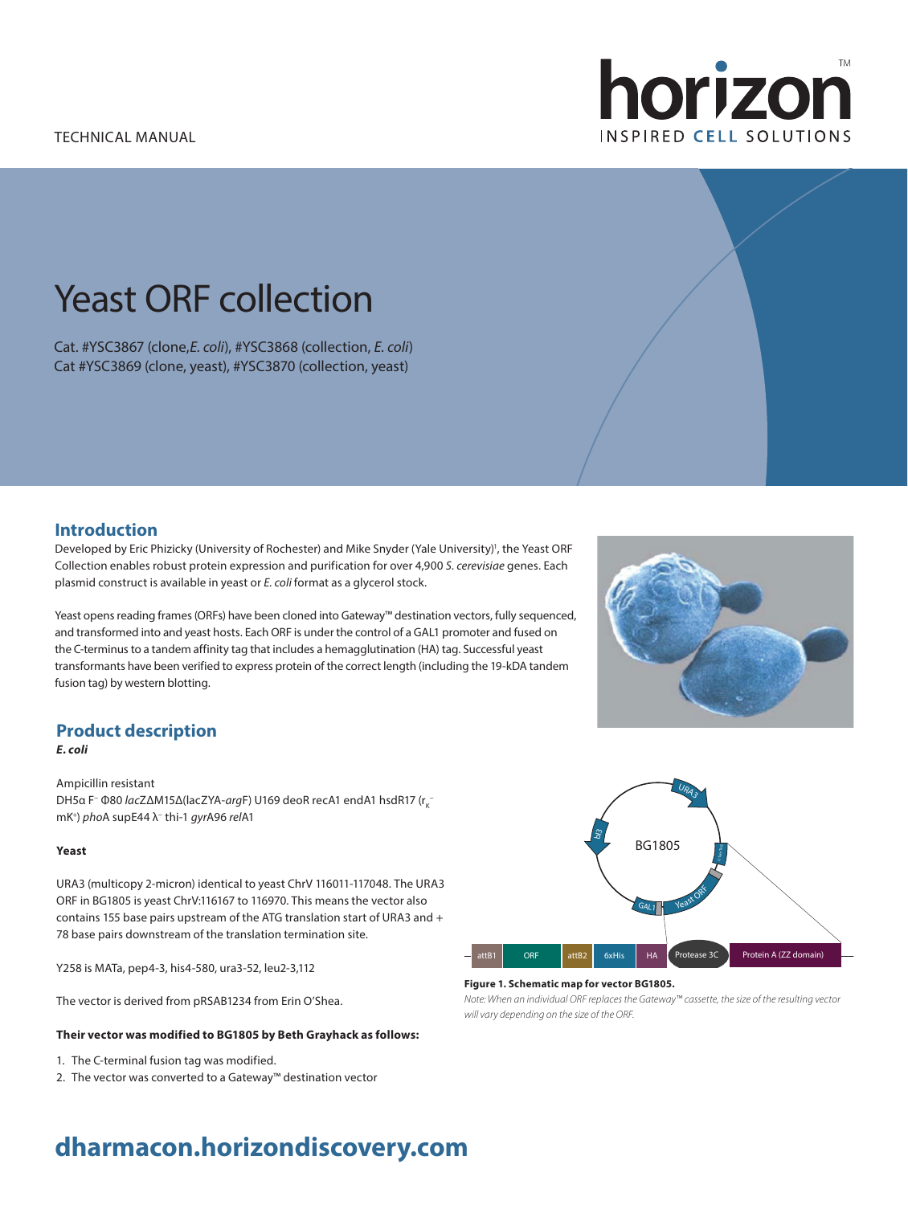

# Yeast ORF collection

Cat. #YSC3867 (clone,*E. coli*), #YSC3868 (collection, *E. coli*) Cat #YSC3869 (clone, yeast), #YSC3870 (collection, yeast)

### **Introduction**

Developed by Eric Phizicky (University of Rochester) and Mike Snyder (Yale University)<sup>1</sup>, the Yeast ORF Collection enables robust protein expression and purification for over 4,900 *S. cerevisiae* genes. Each plasmid construct is available in yeast or *E. coli* format as a glycerol stock.

Yeast opens reading frames (ORFs) have been cloned into Gateway™ destination vectors, fully sequenced, and transformed into and yeast hosts. Each ORF is under the control of a GAL1 promoter and fused on the C-terminus to a tandem affinity tag that includes a hemagglutination (HA) tag. Successful yeast transformants have been verified to express protein of the correct length (including the 19-kDA tandem fusion tag) by western blotting.

## **Product description**

*E. coli*

Ampicillin resistant DH5α F<sup>-</sup> Φ80 *lac*ZΔM15Δ(lacZYA-*arg*F) U169 deoR recA1 endA1 hsdR17 (r<sub>κ</sub>mK+ ) *pho*A supE44 λ− thi-1 *gyr*A96 *rel*A1

#### **Yeast**

URA3 (multicopy 2-micron) identical to yeast ChrV 116011-117048. The URA3 ORF in BG1805 is yeast ChrV:116167 to 116970. This means the vector also contains 155 base pairs upstream of the ATG translation start of URA3 and + 78 base pairs downstream of the translation termination site.

Y258 is MATa, pep4-3, his4-580, ura3-52, leu2-3,112

The vector is derived from pRSAB1234 from Erin O'Shea.

#### **Their vector was modified to BG1805 by Beth Grayhack as follows:**

- 1. The C-terminal fusion tag was modified.
- 2. The vector was converted to a Gateway™ destination vector



#### **Figure 1. Schematic map for vector BG1805.**

*Note: When an individual ORF replaces the Gateway™ cassette, the size of the resulting vector will vary depending on the size of the ORF.*

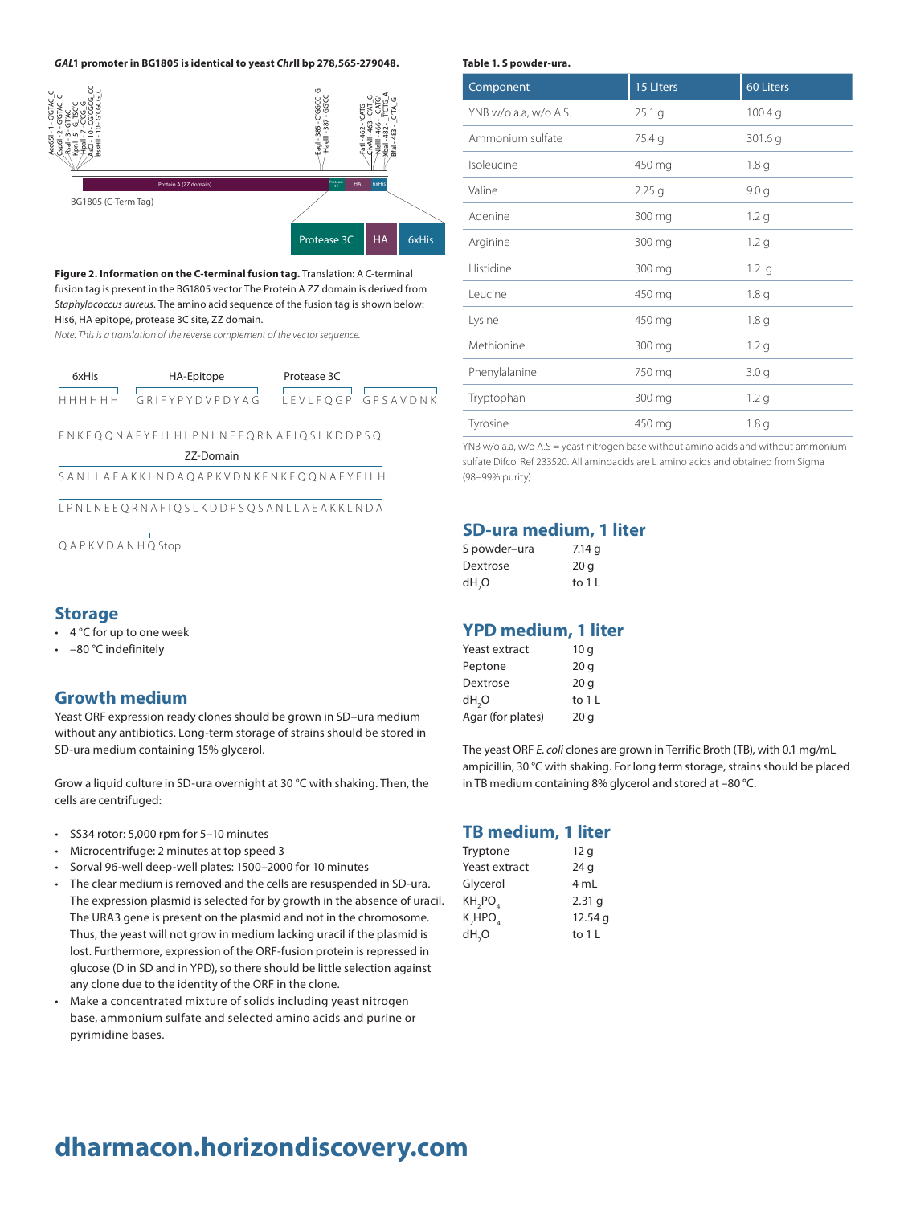

**Figure 2. Information on the C-terminal fusion tag.** Translation: A C-terminal fusion tag is present in the BG1805 vector The Protein A ZZ domain is derived from *Staphylococcus aureus*. The amino acid sequence of the fusion tag is shown below: His6, HA epitope, protease 3C site, ZZ domain.

*Note: This is a translation of the reverse complement of the vector sequence.*

| 6xHis | HA-Epitope        | Protease 3C |                   |
|-------|-------------------|-------------|-------------------|
| .     | GRIFYPY DVP DYA G |             | LEVLFOGP GPSAVDNK |

#### F N K E Q Q N A F Y E I L H L P N L N E E Q R N A F I Q S L K D D P S Q

ZZ-Domain

S A N L L A E A K K L N D A Q A P K V D N K F N K E Q Q N A F Y E I L H

L P N L N E E Q R N A F I Q S L K D D P S Q S A N L L A E A K K L N D A

Q A P K V D A N H Q Stop

#### **Storage**

- 4 °C for up to one week
- –80 °C indefinitely

#### **Growth medium**

Yeast ORF expression ready clones should be grown in SD–ura medium without any antibiotics. Long-term storage of strains should be stored in SD-ura medium containing 15% glycerol.

Grow a liquid culture in SD-ura overnight at 30 °C with shaking. Then, the cells are centrifuged:

- SS34 rotor: 5,000 rpm for 5–10 minutes
- Microcentrifuge: 2 minutes at top speed 3
- Sorval 96-well deep-well plates: 1500–2000 for 10 minutes
- The clear medium is removed and the cells are resuspended in SD-ura. The expression plasmid is selected for by growth in the absence of uracil. The URA3 gene is present on the plasmid and not in the chromosome. Thus, the yeast will not grow in medium lacking uracil if the plasmid is lost. Furthermore, expression of the ORF-fusion protein is repressed in glucose (D in SD and in YPD), so there should be little selection against any clone due to the identity of the ORF in the clone.
- Make a concentrated mixture of solids including yeast nitrogen base, ammonium sulfate and selected amino acids and purine or pyrimidine bases.

#### **Table 1. S powder-ura.**

| Component             | 15 Liters | 60 Liters          |
|-----------------------|-----------|--------------------|
| YNB w/o a.a, w/o A.S. | 25.1 g    | 100.4 <sub>q</sub> |
| Ammonium sulfate      | 75.4 g    | 301.6 g            |
| Isoleucine            | 450 mg    | 1.8 <sub>q</sub>   |
| Valine                | $2.25$ g  | 9.0 g              |
| Adenine               | 300 mg    | 1.2 <sub>q</sub>   |
| Arginine              | 300 mg    | 1.2 <sub>q</sub>   |
| Histidine             | 300 mg    | 1.2 <sub>q</sub>   |
| Leucine               | 450 mg    | 1.8 <sub>q</sub>   |
| Lysine                | 450 mg    | 1.8 <sub>q</sub>   |
| Methionine            | 300 mg    | 1.2 <sub>q</sub>   |
| Phenylalanine         | 750 mg    | 3.0 <sub>q</sub>   |
| Tryptophan            | 300 mg    | 1.2 <sub>q</sub>   |
| Tyrosine              | 450 mg    | 1.8 <sub>q</sub>   |

YNB  $w$ /o a.a,  $w$ /o A.S = yeast nitrogen base without amino acids and without ammonium sulfate Difco: Ref 233520. All aminoacids are L amino acids and obtained from Sigma (98–99% purity).

#### **SD-ura medium, 1 liter**

| S powder-ura      | 7.14q   |
|-------------------|---------|
| Dextrose          | 20q     |
| dH <sub>2</sub> O | to $1L$ |

#### **YPD medium, 1 liter**

| Yeast extract     | 10q             |
|-------------------|-----------------|
| Peptone           | 20q             |
| Dextrose          | 20 <sub>q</sub> |
| dH,O              | to $1 L$        |
| Agar (for plates) | 20 <sub>q</sub> |

The yeast ORF *E. coli* clones are grown in Terrific Broth (TB), with 0.1 mg/mL ampicillin, 30 °C with shaking. For long term storage, strains should be placed in TB medium containing 8% glycerol and stored at –80 °C.

#### **TB medium, 1 liter**

| Tryptone                        | 12 g              |
|---------------------------------|-------------------|
| Yeast extract                   | 24 g              |
| Glycerol                        | 4 mL              |
| KH <sub>2</sub> PO <sub>4</sub> | 2.31 <sub>q</sub> |
| K,HPO                           | 12.54q            |
| dH <sub>2</sub> O               | to $1 L$          |
|                                 |                   |

## **dharmacon.horizondiscovery.com**